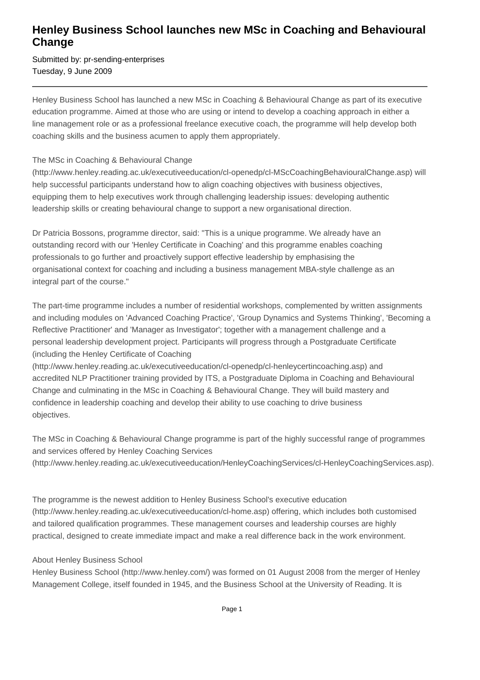## **Henley Business School launches new MSc in Coaching and Behavioural Change**

Submitted by: pr-sending-enterprises Tuesday, 9 June 2009

Henley Business School has launched a new MSc in Coaching & Behavioural Change as part of its executive education programme. Aimed at those who are using or intend to develop a coaching approach in either a line management role or as a professional freelance executive coach, the programme will help develop both coaching skills and the business acumen to apply them appropriately.

## The MSc in Coaching & Behavioural Change

(http://www.henley.reading.ac.uk/executiveeducation/cl-openedp/cl-MScCoachingBehaviouralChange.asp) will help successful participants understand how to align coaching objectives with business objectives, equipping them to help executives work through challenging leadership issues: developing authentic leadership skills or creating behavioural change to support a new organisational direction.

Dr Patricia Bossons, programme director, said: "This is a unique programme. We already have an outstanding record with our 'Henley Certificate in Coaching' and this programme enables coaching professionals to go further and proactively support effective leadership by emphasising the organisational context for coaching and including a business management MBA-style challenge as an integral part of the course."

The part-time programme includes a number of residential workshops, complemented by written assignments and including modules on 'Advanced Coaching Practice', 'Group Dynamics and Systems Thinking', 'Becoming a Reflective Practitioner' and 'Manager as Investigator'; together with a management challenge and a personal leadership development project. Participants will progress through a Postgraduate Certificate (including the Henley Certificate of Coaching

(http://www.henley.reading.ac.uk/executiveeducation/cl-openedp/cl-henleycertincoaching.asp) and accredited NLP Practitioner training provided by ITS, a Postgraduate Diploma in Coaching and Behavioural Change and culminating in the MSc in Coaching & Behavioural Change. They will build mastery and confidence in leadership coaching and develop their ability to use coaching to drive business objectives.

The MSc in Coaching & Behavioural Change programme is part of the highly successful range of programmes and services offered by Henley Coaching Services (http://www.henley.reading.ac.uk/executiveeducation/HenleyCoachingServices/cl-HenleyCoachingServices.asp).

The programme is the newest addition to Henley Business School's executive education (http://www.henley.reading.ac.uk/executiveeducation/cl-home.asp) offering, which includes both customised and tailored qualification programmes. These management courses and leadership courses are highly practical, designed to create immediate impact and make a real difference back in the work environment.

## About Henley Business School

Henley Business School (http://www.henley.com/) was formed on 01 August 2008 from the merger of Henley Management College, itself founded in 1945, and the Business School at the University of Reading. It is